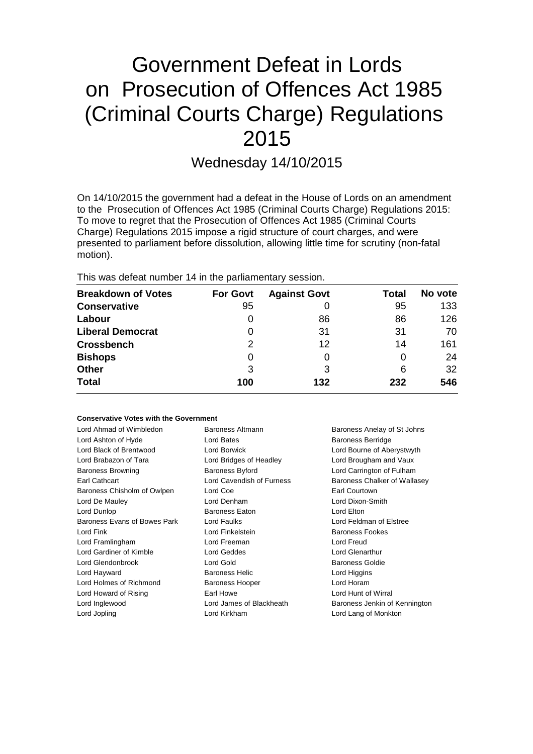# Government Defeat in Lords on Prosecution of Offences Act 1985 (Criminal Courts Charge) Regulations 2015

Wednesday 14/10/2015

On 14/10/2015 the government had a defeat in the House of Lords on an amendment to the Prosecution of Offences Act 1985 (Criminal Courts Charge) Regulations 2015: To move to regret that the Prosecution of Offences Act 1985 (Criminal Courts Charge) Regulations 2015 impose a rigid structure of court charges, and were presented to parliament before dissolution, allowing little time for scrutiny (non-fatal motion).

This was defeat number 14 in the parliamentary session.

| <b>Breakdown of Votes</b> | <b>For Govt</b> | <b>Against Govt</b> | Total | No vote |
|---------------------------|-----------------|---------------------|-------|---------|
| <b>Conservative</b>       | 95              |                     | 95    | 133     |
| Labour                    | O               | 86                  | 86    | 126     |
| <b>Liberal Democrat</b>   | 0               | 31                  | 31    | 70      |
| <b>Crossbench</b>         | 2               | 12                  | 14    | 161     |
| <b>Bishops</b>            | 0               | 0                   | 0     | 24      |
| <b>Other</b>              | 3               | 3                   | 6     | 32      |
| <b>Total</b>              | 100             | 132                 | 232   | 546     |

# **Conservative Votes with the Government**

| Lord Ahmad of Wimbledon      | Baroness Altmann          | Baroness Anelay of St Johns   |
|------------------------------|---------------------------|-------------------------------|
| Lord Ashton of Hyde          | Lord Bates                | <b>Baroness Berridge</b>      |
| Lord Black of Brentwood      | Lord Borwick              | Lord Bourne of Aberystwyth    |
| Lord Brabazon of Tara        | Lord Bridges of Headley   | Lord Brougham and Vaux        |
| <b>Baroness Browning</b>     | <b>Baroness Byford</b>    | Lord Carrington of Fulham     |
| Earl Cathcart                | Lord Cavendish of Furness | Baroness Chalker of Wallasey  |
| Baroness Chisholm of Owlpen  | Lord Coe                  | Earl Courtown                 |
| Lord De Mauley               | Lord Denham               | Lord Dixon-Smith              |
| Lord Dunlop                  | <b>Baroness Eaton</b>     | Lord Elton                    |
| Baroness Evans of Bowes Park | Lord Faulks               | Lord Feldman of Elstree       |
| Lord Fink                    | Lord Finkelstein          | Baroness Fookes               |
| Lord Framlingham             | Lord Freeman              | Lord Freud                    |
| Lord Gardiner of Kimble      | Lord Geddes               | Lord Glenarthur               |
| Lord Glendonbrook            | Lord Gold                 | <b>Baroness Goldie</b>        |
| Lord Hayward                 | <b>Baroness Helic</b>     | Lord Higgins                  |
| Lord Holmes of Richmond      | <b>Baroness Hooper</b>    | Lord Horam                    |
| Lord Howard of Rising        | Earl Howe                 | Lord Hunt of Wirral           |
| Lord Inglewood               | Lord James of Blackheath  | Baroness Jenkin of Kennington |
| Lord Jopling                 | Lord Kirkham              | Lord Lang of Monkton          |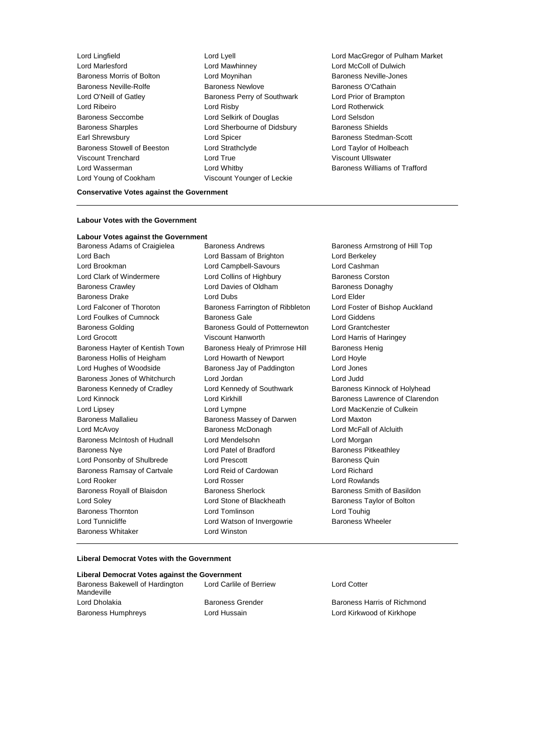Baroness Morris of Bolton Lord Moynihan Baroness Neville-Jones Baroness Neville-Rolfe Baroness Newlove Baroness O'Cathain Lord O'Neill of Gatley Baroness Perry of Southwark Lord Prior of Brampton Lord Ribeiro **Lord Risby** Lord Risby Lord Rotherwick<br>
Baroness Seccombe **Lord Selsic Lord Selsic Lord Selsion**<br>
Lord Selsion Baroness Seccombe Lord Selkirk of Douglas Baroness Sharples **Lord Sherbourne of Didsbury** Baroness Shields Earl Shrewsbury **Example 20** Lord Spicer **Baroness Stedman-Scott** Baroness Stedman-Scott Baroness Stowell of Beeston Lord Strathclyde Lord Taylor of Holbeach Viscount Trenchard Lord True Viscount Ullswater Lord Wasserman **Lord Whitby Baroness Williams of Trafford Lord Whitby Baroness Williams of Trafford** Lord Young of Cookham Viscount Younger of Leckie

Lord Mawhinney **Lord McColl of Dulwich** 

Lord Lingfield Lord Lyell Lord MacGregor of Pulham Market

## **Conservative Votes against the Government**

### **Labour Votes with the Government**

#### **Labour Votes against the Government**

Baroness Adams of Craigielea Baroness Andrews Baroness Armstrong of Hill Top Lord Bach Lord Bassam of Brighton Lord Berkeley Lord Brookman Lord Campbell-Savours Lord Cashman Lord Clark of Windermere Lord Collins of Highbury Baroness Corston Baroness Crawley **Lord Davies of Oldham** Baroness Donaghy Baroness Drake Lord Dubs Lord Elder Lord Falconer of Thoroton Baroness Farrington of Ribbleton Lord Foster of Bishop Auckland Lord Foulkes of Cumnock Baroness Gale Lord Giddens Baroness Golding Baroness Gould of Potternewton Lord Grantchester Lord Grocott Viscount Hanworth Lord Harris of Haringey Baroness Hayter of Kentish Town Baroness Healy of Primrose Hill Baroness Henig Baroness Hollis of Heigham Lord Howarth of Newport Lord Hoyle Lord Hughes of Woodside Baroness Jay of Paddington Lord Jones Baroness Jones of Whitchurch Lord Jordan Lord Judd Baroness Kennedy of Cradley Lord Kennedy of Southwark Baroness Kinnock of Holyhead Lord Kinnock **Lord Kirkhill** Baroness Lawrence of Clarendon Lord Lipsey Lord Lympne Lord MacKenzie of Culkein Baroness Mallalieu Baroness Massey of Darwen Lord Maxton Lord McAvoy Baroness McDonagh Lord McFall of Alcluith Baroness McIntosh of Hudnall Lord Mendelsohn Lord Morgan Baroness Nye **Lord Patel of Bradford** Baroness Pitkeathley Lord Ponsonby of Shulbrede Lord Prescott Corresponding Baroness Quin Baroness Ramsay of Cartvale Lord Reid of Cardowan Lord Richard Lord Rooker Lord Rosser Lord Rowlands Baroness Royall of Blaisdon Baroness Sherlock Baroness Smith of Basildon Lord Soley Lord Stone of Blackheath Baroness Taylor of Bolton Baroness Thornton Lord Tomlinson Lord Touhig Lord Tunnicliffe **Lord Watson of Invergowrie** Baroness Wheeler Baroness Whitaker **Lord Winston** 

## **Liberal Democrat Votes with the Government**

| Liberal Democrat Votes against the Government |                   |
|-----------------------------------------------|-------------------|
| Baroness Bakewell of Hardington<br>Mandeville | Lord Carlile      |
| Lord Dholakia                                 | <b>Baroness G</b> |
| <b>Baroness Humphreys</b>                     | Lord Hussai       |

Lord Carlile of Berriew Lord Cotter

**Baroness Grender Communist Baroness Harris of Richmond** Lord Hussain **Example 20** Lord Kirkwood of Kirkhope